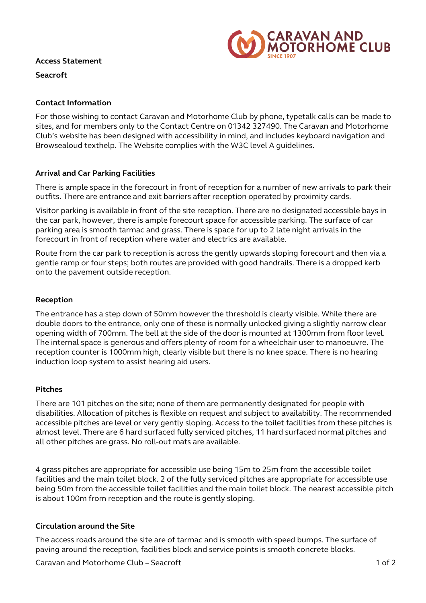

#### **Access Statement**

**Seacroft**

# **Contact Information**

For those wishing to contact Caravan and Motorhome Club by phone, typetalk calls can be made to sites, and for members only to the Contact Centre on 01342 327490. The Caravan and Motorhome Club's website has been designed with accessibility in mind, and includes keyboard navigation and Browsealoud texthelp. The Website complies with the W3C level A guidelines.

# **Arrival and Car Parking Facilities**

There is ample space in the forecourt in front of reception for a number of new arrivals to park their outfits. There are entrance and exit barriers after reception operated by proximity cards.

Visitor parking is available in front of the site reception. There are no designated accessible bays in the car park, however, there is ample forecourt space for accessible parking. The surface of car parking area is smooth tarmac and grass. There is space for up to 2 late night arrivals in the forecourt in front of reception where water and electrics are available.

Route from the car park to reception is across the gently upwards sloping forecourt and then via a gentle ramp or four steps; both routes are provided with good handrails. There is a dropped kerb onto the pavement outside reception.

# **Reception**

The entrance has a step down of 50mm however the threshold is clearly visible. While there are double doors to the entrance, only one of these is normally unlocked giving a slightly narrow clear opening width of 700mm. The bell at the side of the door is mounted at 1300mm from floor level. The internal space is generous and offers plenty of room for a wheelchair user to manoeuvre. The reception counter is 1000mm high, clearly visible but there is no knee space. There is no hearing induction loop system to assist hearing aid users.

### **Pitches**

There are 101 pitches on the site; none of them are permanently designated for people with disabilities. Allocation of pitches is flexible on request and subject to availability. The recommended accessible pitches are level or very gently sloping. Access to the toilet facilities from these pitches is almost level. There are 6 hard surfaced fully serviced pitches, 11 hard surfaced normal pitches and all other pitches are grass. No roll-out mats are available.

4 grass pitches are appropriate for accessible use being 15m to 25m from the accessible toilet facilities and the main toilet block. 2 of the fully serviced pitches are appropriate for accessible use being 50m from the accessible toilet facilities and the main toilet block. The nearest accessible pitch is about 100m from reception and the route is gently sloping.

### **Circulation around the Site**

The access roads around the site are of tarmac and is smooth with speed bumps. The surface of paving around the reception, facilities block and service points is smooth concrete blocks.

Caravan and Motorhome Club – Seacroft 1 of 2